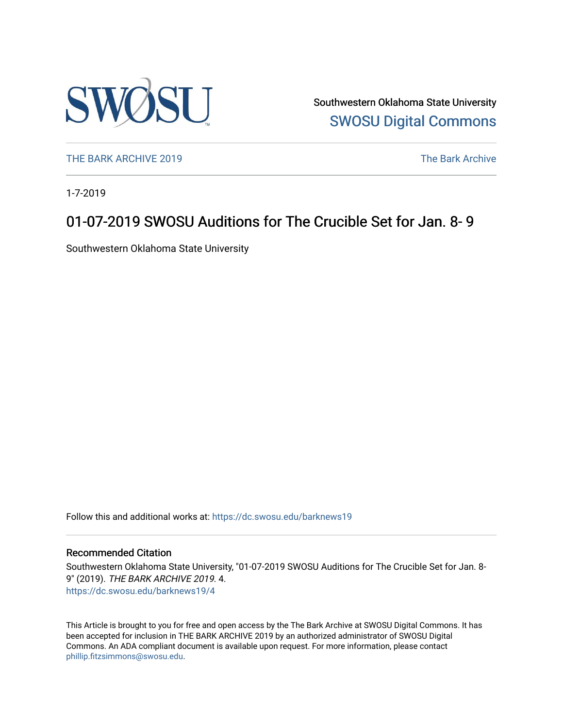

Southwestern Oklahoma State University [SWOSU Digital Commons](https://dc.swosu.edu/) 

[THE BARK ARCHIVE 2019](https://dc.swosu.edu/barknews19) The Bark Archive

1-7-2019

### 01-07-2019 SWOSU Auditions for The Crucible Set for Jan. 8- 9

Southwestern Oklahoma State University

Follow this and additional works at: [https://dc.swosu.edu/barknews19](https://dc.swosu.edu/barknews19?utm_source=dc.swosu.edu%2Fbarknews19%2F4&utm_medium=PDF&utm_campaign=PDFCoverPages)

#### Recommended Citation

Southwestern Oklahoma State University, "01-07-2019 SWOSU Auditions for The Crucible Set for Jan. 8- 9" (2019). THE BARK ARCHIVE 2019. 4. [https://dc.swosu.edu/barknews19/4](https://dc.swosu.edu/barknews19/4?utm_source=dc.swosu.edu%2Fbarknews19%2F4&utm_medium=PDF&utm_campaign=PDFCoverPages) 

This Article is brought to you for free and open access by the The Bark Archive at SWOSU Digital Commons. It has been accepted for inclusion in THE BARK ARCHIVE 2019 by an authorized administrator of SWOSU Digital Commons. An ADA compliant document is available upon request. For more information, please contact [phillip.fitzsimmons@swosu.edu](mailto:phillip.fitzsimmons@swosu.edu).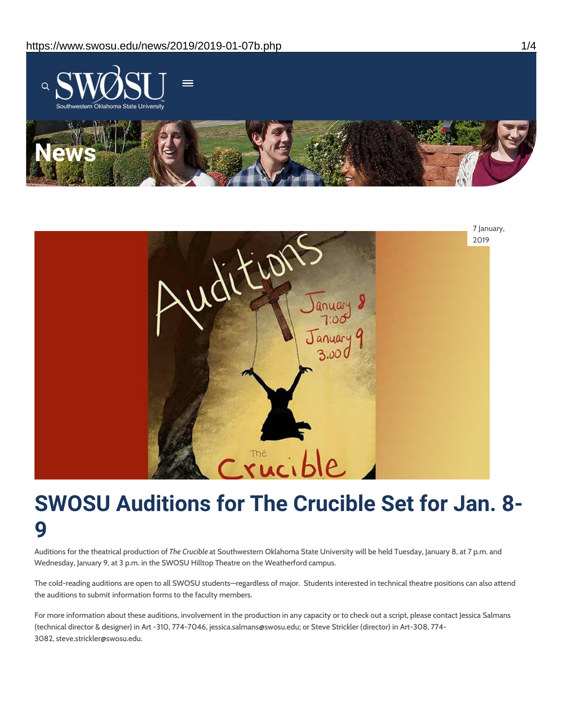



# **SWOSU Auditions for The Crucible Set for Jan. 8- 9**

Auditions for the theatrical production of *The Crucible* at Southwestern Oklahoma State University will be held Tuesday, January 8, at 7 p.m. and Wednesday, January 9, at 3 p.m. in the SWOSU Hilltop Theatre on the Weatherford campus.

The cold-reading auditions are open to all SWOSU students—regardless of major. Students interested in technical theatre positions can also attend the auditions to submit information forms to the faculty members.

For more information about these auditions, involvement in the production in any capacity or to check out a script, please contact Jessica Salmans (technical director & designer) in Art -310, 774-7046, jessica.salmans@swosu.edu; or Steve Strickler (director) in Art-308, 774- 3082, steve.strickler@swosu.edu.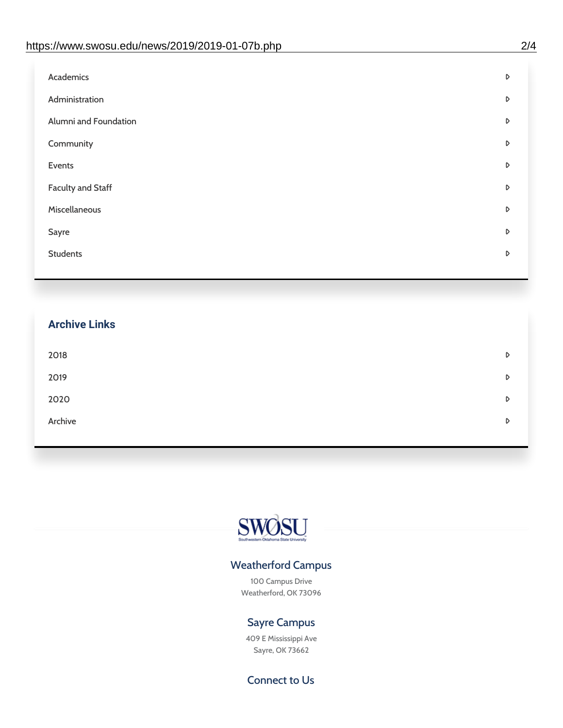| Administration<br>D<br>Alumni and Foundation<br>D<br>Community<br>D<br>Events<br>D | Academics | D |
|------------------------------------------------------------------------------------|-----------|---|
|                                                                                    |           |   |
|                                                                                    |           |   |
|                                                                                    |           |   |
|                                                                                    |           |   |
| <b>Faculty and Staff</b><br>D                                                      |           |   |
| Miscellaneous<br>D                                                                 |           |   |
| Sayre<br>D                                                                         |           |   |
| <b>Students</b><br>D                                                               |           |   |

## **Archive Links**  $2018$  $2019$ [2020](https://www.swosu.edu/news/2020/index.php)  $\bullet$ [Archive](https://dc.swosu.edu/bark/) **Archive Archive Archive Archive Archive** Archive Archive Archive Archive Archive Archive Archive Archive



### Weatherford Campus

100 Campus Drive Weatherford, OK 73096

### Sayre Campus

409 E Mississippi Ave Sayre, OK 73662

Connect to Us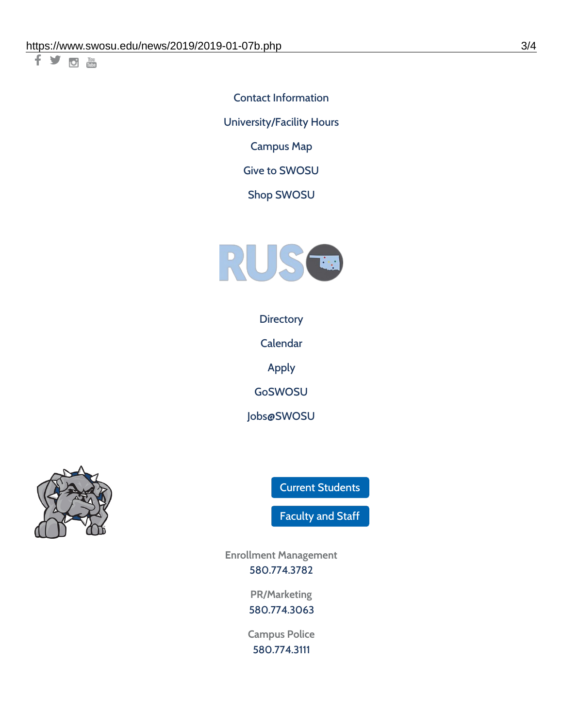千岁回调

Contact [Information](https://www.swosu.edu/about/contact.php) [University/Facility](https://www.swosu.edu/about/operating-hours.php) Hours [Campus](https://map.concept3d.com/?id=768#!ct/10964,10214,10213,10212,10205,10204,10203,10202,10136,10129,10128,0,31226,10130,10201,10641,0) Map

Give to [SWOSU](https://standingfirmly.com/donate)

Shop [SWOSU](https://shopswosu.merchorders.com/)



**[Directory](https://www.swosu.edu/directory/index.php)** 

[Calendar](https://eventpublisher.dudesolutions.com/swosu/)

[Apply](https://www.swosu.edu/admissions/apply-to-swosu.php)

[GoSWOSU](https://qlsso.quicklaunchsso.com/home/1267)

[Jobs@SWOSU](https://swosu.csod.com/ux/ats/careersite/1/home?c=swosu)



Current [Students](https://bulldog.swosu.edu/index.php)

[Faculty](https://bulldog.swosu.edu/faculty-staff/index.php) and Staff

**Enrollment Management** [580.774.3782](tel:5807743782)

> **PR/Marketing** [580.774.3063](tel:5807743063)

**Campus Police** [580.774.3111](tel:5807743111)